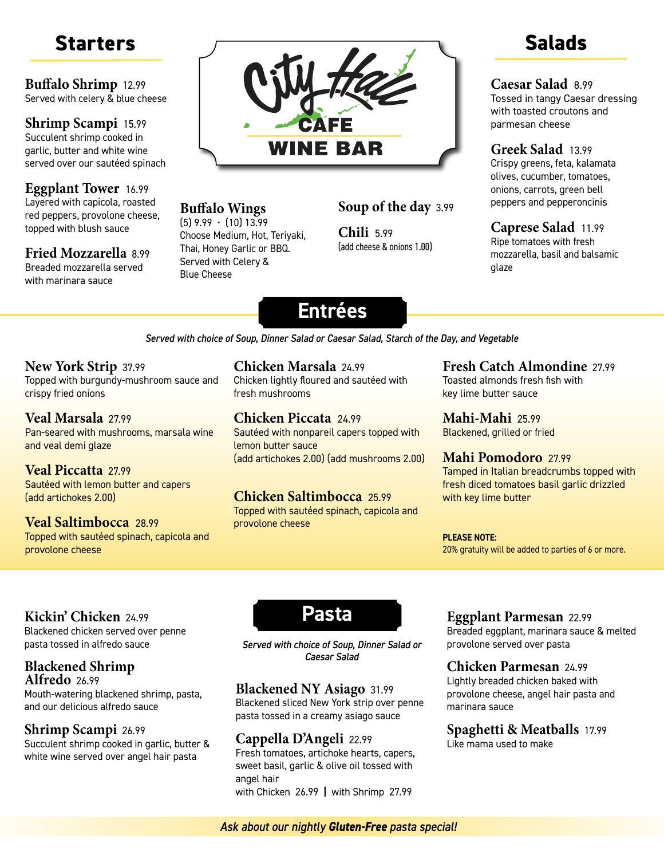**Buffalo Shrimp** 12.99 Served with celery & blue cheese

#### **Shrimp Scampi** 15.99 Succulent shrimp cooked in garlic, butter and white wine served over our sautéed spinach

#### **Eggplant Tower** 16.99 Layered with capicola, roasted red peppers, provolone cheese, topped with blush sauce

# **Fried Mozzarella** 8.99

Breaded mozzarella served with marinara sauce



#### **Buffalo Wings**

 $(5)$  9.99  $\cdot$  (10) 13.99 Choose Medium, Hot, Teriyaki, Thai, Honey Garlic or BBQ. Served with Celery & Blue Cheese

#### **Soup of the day** 3.99

**Chili** 5.99 (add cheese & onions 1.00)

#### **Caesar Salad** 8.99

Tossed in tangy Caesar dressing with toasted croutons and parmesan cheese

#### **Greek Salad** 13.99

Crispy greens, feta, kalamata olives, cucumber, tomatoes, onions, carrots, green bell peppers and pepperoncinis

**Caprese Salad** 11.99

Ripe tomatoes with fresh mozzarella, basil and balsamic glaze

# **Entrées**

*Served with choice of Soup, Dinner Salad or Caesar Salad, Starch of the Day, and Vegetable*

#### **New York Strip** 37.99

Topped with burgundy-mushroom sauce and crispy fried onions

#### **Veal Marsala** 27.99

Pan-seared with mushrooms, marsala wine and veal demi glaze

**Veal Piccatta** 27.99 Sautéed with lemon butter and capers (add artichokes 2.00)

#### **Veal Saltimbocca** 28.99 Topped with sautéed spinach, capicola and provolone cheese

#### **Chicken Marsala** 24.99

Chicken lightly floured and sautéed with fresh mushrooms

#### **Chicken Piccata** 24.99

Sautéed with nonpareil capers topped with lemon butter sauce (add artichokes 2.00) (add mushrooms 2.00)

### **Chicken Saltimbocca** 25.99

Topped with sautéed spinach, capicola and provolone cheese

### **Fresh Catch Almondine** 27.99

Toasted almonds fresh fish with key lime butter sauce

**Mahi-Mahi** 25.99 Blackened, grilled or fried

#### **Mahi Pomodoro** 27.99

Tamped in Italian breadcrumbs topped with fresh diced tomatoes basil garlic drizzled with key lime butter

#### **PLEASE NOTE:**

20% gratuity will be added to parties of 6 or more.

### **Kickin' Chicken** 24.99

Blackened chicken served over penne pasta tossed in alfredo sauce

#### **Blackened Shrimp Alfredo** 26.99

Mouth-watering blackened shrimp, pasta, and our delicious alfredo sauce

#### **Shrimp Scampi** 26.99

Succulent shrimp cooked in garlic, butter & white wine served over angel hair pasta



*Served with choice of Soup, Dinner Salad or Caesar Salad*

### **Blackened NY Asiago** 31.99

Blackened sliced New York strip over penne pasta tossed in a creamy asiago sauce

### **Cappella D'Angeli** 22.99

Fresh tomatoes, artichoke hearts, capers, sweet basil, garlic & olive oil tossed with angel hair with Chicken 26.99 **|** with Shrimp 27.99

#### **Eggplant Parmesan** 22.99

Breaded eggplant, marinara sauce & melted provolone served over pasta

#### **Chicken Parmesan** 24.99

Lightly breaded chicken baked with provolone cheese, angel hair pasta and marinara sauce

#### **Spaghetti & Meatballs** 17.99

Like mama used to make